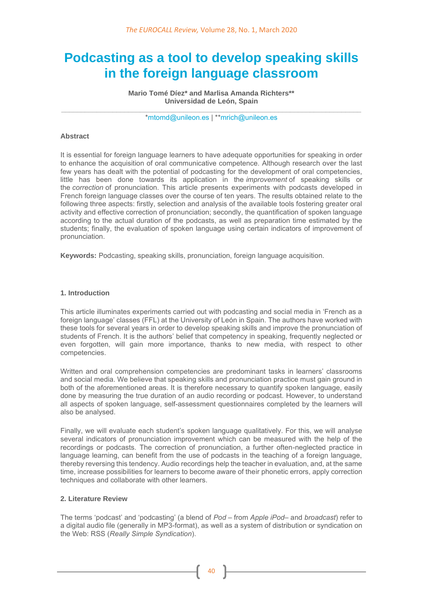# **Podcasting as a tool to develop speaking skills in the foreign language classroom**

**Mario Tomé Díez\* and Marlisa Amanda Richters\*\* Universidad de León, Spain**

**\_\_\_\_\_\_\_\_\_\_\_\_\_\_\_\_\_\_\_\_\_\_\_\_\_\_\_\_\_\_\_\_\_\_\_\_\_\_\_\_\_\_\_\_\_\_\_\_\_\_\_\_\_\_\_\_\_\_\_\_\_\_\_\_\_\_\_\_\_\_\_\_\_\_\_\_** [\\*mtomd@unileon.es](mailto:mtomd@unileon.es) | \*[\\*mrich@unileon.es](mailto:mrich@unileon.es)

## **Abstract**

It is essential for foreign language learners to have adequate opportunities for speaking in order to enhance the acquisition of oral communicative competence. Although research over the last few years has dealt with the potential of podcasting for the development of oral competencies, little has been done towards its application in the *improvement* of speaking skills or the *correction* of pronunciation. This article presents experiments with podcasts developed in French foreign language classes over the course of ten years. The results obtained relate to the following three aspects: firstly, selection and analysis of the available tools fostering greater oral activity and effective correction of pronunciation; secondly, the quantification of spoken language according to the actual duration of the podcasts, as well as preparation time estimated by the students; finally, the evaluation of spoken language using certain indicators of improvement of pronunciation.

**Keywords:** Podcasting, speaking skills, pronunciation, foreign language acquisition.

#### **1. Introduction**

This article illuminates experiments carried out with podcasting and social media in 'French as a foreign language' classes (FFL) at the University of León in Spain. The authors have worked with these tools for several years in order to develop speaking skills and improve the pronunciation of students of French. It is the authors' belief that competency in speaking, frequently neglected or even forgotten, will gain more importance, thanks to new media, with respect to other competencies.

Written and oral comprehension competencies are predominant tasks in learners' classrooms and social media. We believe that speaking skills and pronunciation practice must gain ground in both of the aforementioned areas. It is therefore necessary to quantify spoken language, easily done by measuring the true duration of an audio recording or podcast. However, to understand all aspects of spoken language, self-assessment questionnaires completed by the learners will also be analysed.

Finally, we will evaluate each student's spoken language qualitatively. For this, we will analyse several indicators of pronunciation improvement which can be measured with the help of the recordings or podcasts. The correction of pronunciation, a further often-neglected practice in language learning, can benefit from the use of podcasts in the teaching of a foreign language, thereby reversing this tendency. Audio recordings help the teacher in evaluation, and, at the same time, increase possibilities for learners to become aware of their phonetic errors, apply correction techniques and collaborate with other learners.

### **2. Literature Review**

The terms 'podcast' and 'podcasting' (a blend of *Pod* – from *Apple iPod*– and *broadcast*) refer to a digital audio file (generally in MP3-format), as well as a system of distribution or syndication on the Web: RSS (*Really Simple Syndication*).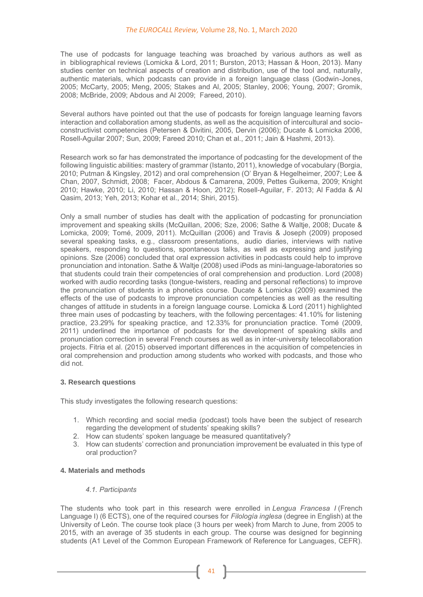The use of podcasts for language teaching was broached by various authors as well as in bibliographical reviews (Lomicka & Lord, 2011; Burston, 2013; Hassan & Hoon, 2013). Many studies center on technical aspects of creation and distribution, use of the tool and, naturally, authentic materials, which podcasts can provide in a foreign language class (Godwin-Jones, 2005; McCarty, 2005; Meng, 2005; Stakes and Al, 2005; Stanley, 2006; Young, 2007; Gromik, 2008; McBride, 2009; Abdous and Al 2009; Fareed, 2010).

Several authors have pointed out that the use of podcasts for foreign language learning favors interaction and collaboration among students, as well as the acquisition of intercultural and socioconstructivist competencies (Petersen & Divitini, 2005, Dervin (2006); Ducate & Lomicka 2006, Rosell-Aguilar 2007; Sun, 2009; Fareed 2010; Chan et al., 2011; Jain & Hashmi, 2013).

Research work so far has demonstrated the importance of podcasting for the development of the following linguistic abilities: mastery of grammar (Istanto, 2011), knowledge of vocabulary (Borgia, 2010; Putman & Kingsley, 2012) and oral comprehension (O' Bryan & Hegelheimer, 2007; Lee & Chan, 2007, Schmidt, 2008; Facer, Abdous & Camarena, 2009, Pettes Guikema, 2009; Knight 2010; Hawke, 2010; Li, 2010; Hassan & Hoon, 2012); Rosell-Aguilar, F. 2013; Al Fadda & Al Qasim, 2013; Yeh, 2013; Kohar et al., 2014; Shiri, 2015).

Only a small number of studies has dealt with the application of podcasting for pronunciation improvement and speaking skills (McQuillan, 2006; Sze, 2006; Sathe & Waltje, 2008; Ducate & Lomicka, 2009; Tomé, 2009, 2011). McQuillan (2006) and Travis & Joseph (2009) proposed several speaking tasks, e.g., classroom presentations, audio diaries, interviews with native speakers, responding to questions, spontaneous talks, as well as expressing and justifying opinions. Sze (2006) concluded that oral expression activities in podcasts could help to improve pronunciation and intonation. Sathe & Waltje (2008) used iPods as mini-language-laboratories so that students could train their competencies of oral comprehension and production. Lord (2008) worked with audio recording tasks (tongue-twisters, reading and personal reflections) to improve the pronunciation of students in a phonetics course. Ducate & Lomicka (2009) examined the effects of the use of podcasts to improve pronunciation competencies as well as the resulting changes of attitude in students in a foreign language course. Lomicka & Lord (2011) highlighted three main uses of podcasting by teachers, with the following percentages: 41.10% for listening practice, 23.29% for speaking practice, and 12.33% for pronunciation practice. Tomé (2009, 2011) underlined the importance of podcasts for the development of speaking skills and pronunciation correction in several French courses as well as in inter-university telecollaboration projects. Fitria et al. (2015) observed important differences in the acquisition of competencies in oral comprehension and production among students who worked with podcasts, and those who did not.

#### **3. Research questions**

This study investigates the following research questions:

- 1. Which recording and social media (podcast) tools have been the subject of research regarding the development of students' speaking skills?
- 2. How can students' spoken language be measured quantitatively?
- 3. How can students' correction and pronunciation improvement be evaluated in this type of oral production?

## **4. Materials and methods**

#### *4.1. Participants*

The students who took part in this research were enrolled in *Lengua Francesa I* (French Language I) (6 ECTS), one of the required courses for *Filología inglesa* (degree in English) at the University of León. The course took place (3 hours per week) from March to June, from 2005 to 2015, with an average of 35 students in each group. The course was designed for beginning students (A1 Level of the Common European Framework of Reference for Languages, CEFR).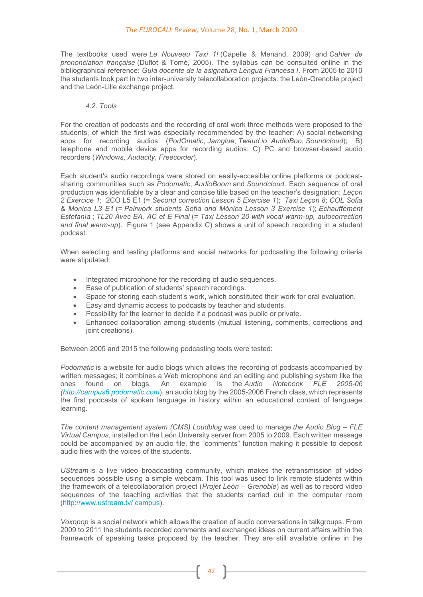#### *The EUROCALL Review,* Volume 28, No. 1, March 2020

The textbooks used were *Le Nouveau Taxi 1!* (Capelle & Menand, 2009) and *Cahier de prononciation française* (Duflot & Tomé, 2005). The syllabus can be consulted online in the bibliographical reference: *Guía docente de la asignatura Lengua Francesa I*. From 2005 to 2010 the students took part in two inter-university telecollaboration projects: the León-Grenoble project and the León-Lille exchange project.

## *4.2. Tools*

For the creation of podcasts and the recording of oral work three methods were proposed to the students, of which the first was especially recommended by the teacher: A) social networking apps for recording audios (*PodOmatic*, *Jamglue*, *Twaud.io*, *AudioBoo*, *Soundcloud*); B) telephone and mobile device apps for recording audios; C) PC and browser-based audio recorders (*Windows*, *Audacity*, *Freecorder*).

Each student's audio recordings were stored on easily-accesible online platforms or podcastsharing communities such as *Podomatic*, *AudioBoom* and *Soundcloud*. Each sequence of oral production was identifiable by a clear and concise title based on the teacher's designation: *Leçon 2 Exercice 1*; 2CO L5 E1 (= *Second correction Lesson 5 Exercise 1*); *Taxi Leçon 8*; *COL Sofia & Monica L3 E1* (= *Pairwork students Sofía and Mónica Lesson 3 Exercise 1*); *Echauffement Estefanía* ; *TL20 Avec EA, AC et E Final* (= *Taxi Lesson 20 with vocal warm-up, autocorrection and final warm-up*). Figure 1 (see Appendix C) shows a unit of speech recording in a student podcast.

When selecting and testing platforms and social networks for podcasting the following criteria were stipulated:

- Integrated microphone for the recording of audio sequences.
- Ease of publication of students' speech recordings.
- Space for storing each student's work, which constituted their work for oral evaluation.
- Easy and dynamic access to podcasts by teacher and students.
- Possibility for the learner to decide if a podcast was public or private.
- Enhanced collaboration among students (mutual listening, comments, corrections and ioint creations).

Between 2005 and 2015 the following podcasting tools were tested:

*Podomatic* is a website for audio blogs which allows the recording of podcasts accompanied by written messages; it combines a Web microphone and an editing and publishing system like the ones found on blogs. An example is the *Audio Notebook FLE 2005-06 [\(http://campus6.podomatic.com](http://campus6.podomatic.com/)*), an audio blog by the 2005-2006 French class, which represents the first podcasts of spoken language in history within an educational context of language learning.

*The content management system (CMS) Loudblog* was used to manage *the Audio Blog – FLE Virtual Campus*, installed on the León University server from 2005 to 2009. Each written message could be accompanied by an audio file, the "comments" function making it possible to deposit audio files with the voices of the students.

*UStream* is a live video broadcasting community, which makes the retransmission of video sequences possible using a simple webcam*.* This tool was used to link remote students within the framework of a telecollaboration project (*Projet León – Grenoble*) as well as to record video sequences of the teaching activities that the students carried out in the computer room [\(http://www.ustream.tv/ campus\)](http://www.ustream.tv/%E2%80%8Bcampus).

*Voxopop* is a social network which allows the creation of audio conversations in talkgroups. From 2009 to 2011 the students recorded comments and exchanged ideas on current affairs within the framework of speaking tasks proposed by the teacher. They are still available online in the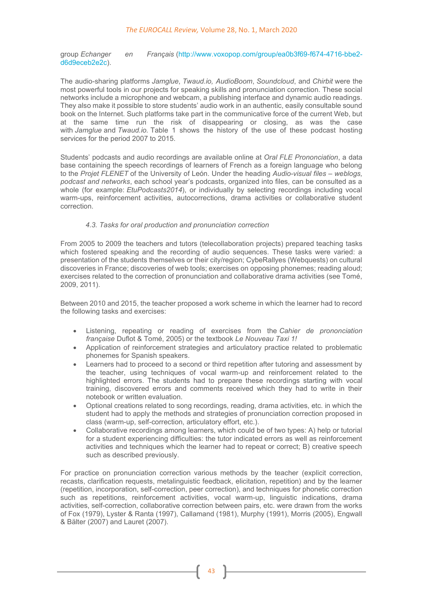group *Echanger en Français* [\(http://www.voxopop.com/group/ea0b3f69-f674-4716-bbe2](http://www.voxopop.com/group/ea0b3f69-f674-4716-bbe2-d6d9eceb2e2c) [d6d9eceb2e2c\)](http://www.voxopop.com/group/ea0b3f69-f674-4716-bbe2-d6d9eceb2e2c).

The audio-sharing platforms *Jamglue*, *Twaud.io, AudioBoom*, *Soundcloud*, and *Chirbit* were the most powerful tools in our projects for speaking skills and pronunciation correction. These social networks include a microphone and webcam, a publishing interface and dynamic audio readings. They also make it possible to store students' audio work in an authentic, easily consultable sound book on the Internet. Such platforms take part in the communicative force of the current Web, but at the same time run the risk of disappearing or closing, as was the case with *Jamglue* and *Twaud.io.* Table 1 shows the history of the use of these podcast hosting services for the period 2007 to 2015.

Students' podcasts and audio recordings are available online at *Oral FLE Prononciation*, a data base containing the speech recordings of learners of French as a foreign language who belong to the *Projet FLENET* of the University of León. Under the heading *Audio-visual files – weblogs, podcast and networks*, each school year's podcasts, organized into files, can be consulted as a whole (for example: *EtuPodcasts2014*), or individually by selecting recordings including vocal warm-ups, reinforcement activities, autocorrections, drama activities or collaborative student correction.

## *4.3. Tasks for oral production and pronunciation correction*

From 2005 to 2009 the teachers and tutors (telecollaboration projects) prepared teaching tasks which fostered speaking and the recording of audio sequences. These tasks were varied: a presentation of the students themselves or their city/region; CybeRallyes (Webquests) on cultural discoveries in France; discoveries of web tools; exercises on opposing phonemes; reading aloud; exercises related to the correction of pronunciation and collaborative drama activities (see Tomé, 2009, 2011).

Between 2010 and 2015, the teacher proposed a work scheme in which the learner had to record the following tasks and exercises:

- Listening, repeating or reading of exercises from the *Cahier de prononciation française* Duflot & Tomé, 2005) or the textbook *Le Nouveau Taxi 1!*
- Application of reinforcement strategies and articulatory practice related to problematic phonemes for Spanish speakers.
- Learners had to proceed to a second or third repetition after tutoring and assessment by the teacher, using techniques of vocal warm-up and reinforcement related to the highlighted errors. The students had to prepare these recordings starting with vocal training, discovered errors and comments received which they had to write in their notebook or written evaluation.
- Optional creations related to song recordings, reading, drama activities, etc. in which the student had to apply the methods and strategies of pronunciation correction proposed in class (warm-up, self-correction, articulatory effort, etc.).
- Collaborative recordings among learners, which could be of two types: A) help or tutorial for a student experiencing difficulties: the tutor indicated errors as well as reinforcement activities and techniques which the learner had to repeat or correct; B) creative speech such as described previously.

For practice on pronunciation correction various methods by the teacher (explicit correction, recasts, clarification requests, metalinguistic feedback, elicitation, repetition) and by the learner (repetition, incorporation, self-correction, peer correction), and techniques for phonetic correction such as repetitions, reinforcement activities, vocal warm-up, linguistic indications, drama activities, self-correction, collaborative correction between pairs, etc. were drawn from the works of Fox (1979), Lyster & Ranta (1997), Callamand (1981), Murphy (1991), Morris (2005), Engwall & Bälter (2007) and Lauret (2007).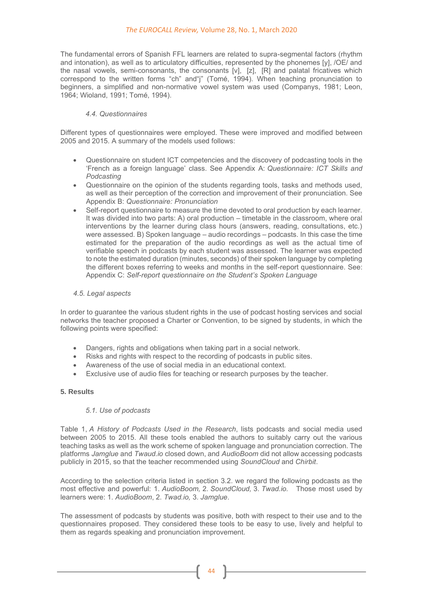## *The EUROCALL Review,* Volume 28, No. 1, March 2020

The fundamental errors of Spanish FFL learners are related to supra-segmental factors (rhythm and intonation), as well as to articulatory difficulties, represented by the phonemes [y], /OE/ and the nasal vowels, semi-consonants, the consonants [v], [z], [R] and palatal fricatives which correspond to the written forms "ch" and"j" (Tomé, 1994). When teaching pronunciation to beginners, a simplified and non-normative vowel system was used (Companys, 1981; Leon, 1964; Wioland, 1991; Tomé, 1994).

## *4.4. Questionnaires*

Different types of questionnaires were employed. These were improved and modified between 2005 and 2015. A summary of the models used follows:

- Questionnaire on student ICT competencies and the discovery of podcasting tools in the 'French as a foreign language' class. See Appendix A: *Questionnaire: ICT Skills and Podcasting*
- Questionnaire on the opinion of the students regarding tools, tasks and methods used, as well as their perception of the correction and improvement of their pronunciation. See Appendix B: *Questionnaire: Pronunciation*
- Self-report questionnaire to measure the time devoted to oral production by each learner. It was divided into two parts: A) oral production – timetable in the classroom, where oral interventions by the learner during class hours (answers, reading, consultations, etc.) were assessed. B) Spoken language – audio recordings – podcasts. In this case the time estimated for the preparation of the audio recordings as well as the actual time of verifiable speech in podcasts by each student was assessed. The learner was expected to note the estimated duration (minutes, seconds) of their spoken language by completing the different boxes referring to weeks and months in the self-report questionnaire. See: Appendix C: *Self-report questionnaire on the Student's Spoken Language*

#### *4.5. Legal aspects*

In order to guarantee the various student rights in the use of podcast hosting services and social networks the teacher proposed a Charter or Convention, to be signed by students, in which the following points were specified:

- Dangers, rights and obligations when taking part in a social network.
- Risks and rights with respect to the recording of podcasts in public sites.
- Awareness of the use of social media in an educational context.
- Exclusive use of audio files for teaching or research purposes by the teacher.

#### **5. Results**

#### *5.1. Use of podcasts*

Table 1, *A History of Podcasts Used in the Research*, lists podcasts and social media used between 2005 to 2015. All these tools enabled the authors to suitably carry out the various teaching tasks as well as the work scheme of spoken language and pronunciation correction. The platforms *Jamglue* and *Twaud.io* closed down, and *AudioBoom* did not allow accessing podcasts publicly in 2015, so that the teacher recommended using *SoundCloud* and *Chirbit*.

According to the selection criteria listed in section 3.2. we regard the following podcasts as the most effective and powerful: 1. *AudioBoom,* 2. *SoundCloud,* 3. *Twad.io.* Those most used by learners were: 1. *AudioBoom*, 2. *Twad.io,* 3. *Jamglue*.

The assessment of podcasts by students was positive, both with respect to their use and to the questionnaires proposed. They considered these tools to be easy to use, lively and helpful to them as regards speaking and pronunciation improvement.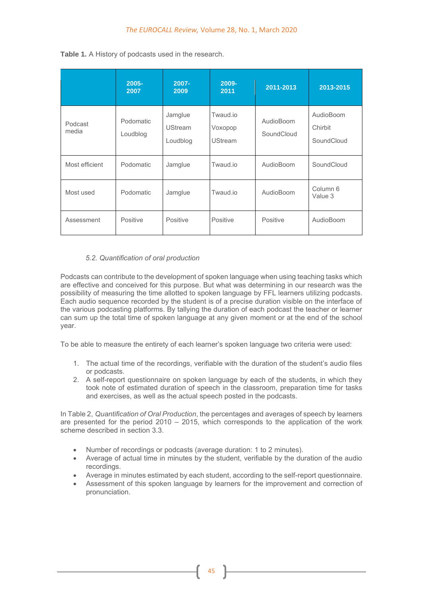|                  | $2005 -$<br>2007      | $2007 -$<br>2009                      | 2009-<br>2011                         | 2011-2013               | 2013-2015                          |
|------------------|-----------------------|---------------------------------------|---------------------------------------|-------------------------|------------------------------------|
| Podcast<br>media | Podomatic<br>Loudblog | Jamglue<br><b>UStream</b><br>Loudblog | Twaud.io<br>Voxopop<br><b>UStream</b> | AudioBoom<br>SoundCloud | AudioBoom<br>Chirbit<br>SoundCloud |
| Most efficient   | Podomatic             | Jamglue                               | Twaud.jo                              | AudioBoom               | SoundCloud                         |
| Most used        | Podomatic             | Jamglue                               | Twaud.jo<br>AudioBoom                 |                         | Column 6<br>Value 3                |
| Assessment       | Positive              | Positive                              | Positive                              | Positive                | AudioBoom                          |

**Table 1.** A History of podcasts used in the research.

## *5.2. Quantification of oral production*

Podcasts can contribute to the development of spoken language when using teaching tasks which are effective and conceived for this purpose. But what was determining in our research was the possibility of measuring the time allotted to spoken language by FFL learners utilizing podcasts. Each audio sequence recorded by the student is of a precise duration visible on the interface of the various podcasting platforms. By tallying the duration of each podcast the teacher or learner can sum up the total time of spoken language at any given moment or at the end of the school year.

To be able to measure the entirety of each learner's spoken language two criteria were used:

- 1. The actual time of the recordings, verifiable with the duration of the student's audio files or podcasts.
- 2. A self-report questionnaire on spoken language by each of the students, in which they took note of estimated duration of speech in the classroom, preparation time for tasks and exercises, as well as the actual speech posted in the podcasts.

In Table 2, *Quantification of Oral Production*, the percentages and averages of speech by learners are presented for the period 2010 – 2015, which corresponds to the application of the work scheme described in section 3.3.

- Number of recordings or podcasts (average duration: 1 to 2 minutes).
- Average of actual time in minutes by the student, verifiable by the duration of the audio recordings.
- Average in minutes estimated by each student, according to the self-report questionnaire.
- Assessment of this spoken language by learners for the improvement and correction of pronunciation.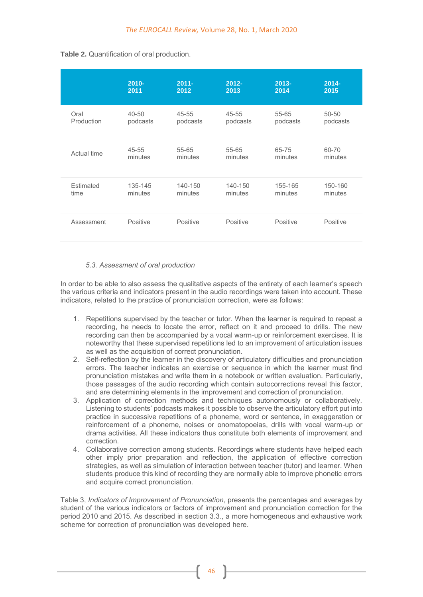|             | $2010 -$  | $2011 -$  | $2012 -$ | $2013 -$ | $2014 -$ |
|-------------|-----------|-----------|----------|----------|----------|
|             | 2011      | 2012      | 2013     | 2014     | 2015     |
| Oral        | $40 - 50$ | 45-55     | 45-55    | 55-65    | 50-50    |
| Production  | podcasts  | podcasts  | podcasts | podcasts | podcasts |
| Actual time | 45-55     | $55 - 65$ | 55-65    | 65-75    | 60-70    |
|             | minutes   | minutes   | minutes  | minutes  | minutes  |
| Estimated   | 135-145   | 140-150   | 140-150  | 155-165  | 150-160  |
| time        | minutes   | minutes   | minutes  | minutes  | minutes  |
| Assessment  | Positive  | Positive  | Positive | Positive | Positive |

## **Table 2.** Quantification of oral production.

#### *5.3. Assessment of oral production*

In order to be able to also assess the qualitative aspects of the entirety of each learner's speech the various criteria and indicators present in the audio recordings were taken into account. These indicators, related to the practice of pronunciation correction, were as follows:

- 1. Repetitions supervised by the teacher or tutor. When the learner is required to repeat a recording, he needs to locate the error, reflect on it and proceed to drills. The new recording can then be accompanied by a vocal warm-up or reinforcement exercises. It is noteworthy that these supervised repetitions led to an improvement of articulation issues as well as the acquisition of correct pronunciation.
- 2. Self-reflection by the learner in the discovery of articulatory difficulties and pronunciation errors. The teacher indicates an exercise or sequence in which the learner must find pronunciation mistakes and write them in a notebook or written evaluation. Particularly, those passages of the audio recording which contain autocorrections reveal this factor, and are determining elements in the improvement and correction of pronunciation.
- 3. Application of correction methods and techniques autonomously or collaboratively. Listening to students' podcasts makes it possible to observe the articulatory effort put into practice in successive repetitions of a phoneme, word or sentence, in exaggeration or reinforcement of a phoneme, noises or onomatopoeias, drills with vocal warm-up or drama activities. All these indicators thus constitute both elements of improvement and correction.
- 4. Collaborative correction among students. Recordings where students have helped each other imply prior preparation and reflection, the application of effective correction strategies, as well as simulation of interaction between teacher (tutor) and learner. When students produce this kind of recording they are normally able to improve phonetic errors and acquire correct pronunciation.

Table 3, *Indicators of Improvement of Pronunciation*, presents the percentages and averages by student of the various indicators or factors of improvement and pronunciation correction for the period 2010 and 2015. As described in section 3.3., a more homogeneous and exhaustive work scheme for correction of pronunciation was developed here.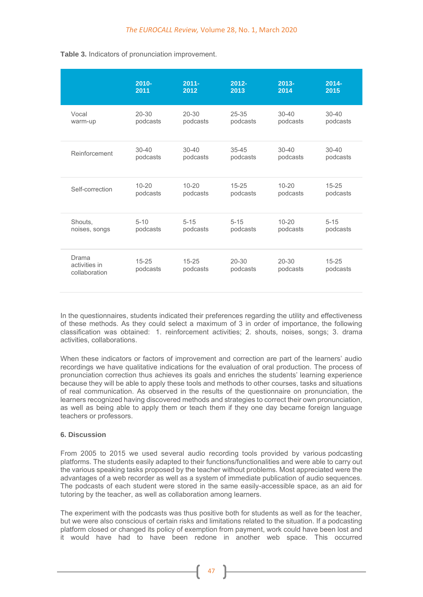|                                         | $2010 -$<br>2011      | $2011 -$<br>2012      | $2012 -$<br>2013      | $2013 -$<br>2014      | $2014 -$<br>2015      |
|-----------------------------------------|-----------------------|-----------------------|-----------------------|-----------------------|-----------------------|
| Vocal<br>warm-up                        | $20 - 30$<br>podcasts | $20 - 30$<br>podcasts | $25 - 35$<br>podcasts | $30 - 40$<br>podcasts | $30 - 40$<br>podcasts |
| Reinforcement                           | $30 - 40$<br>podcasts | $30 - 40$<br>podcasts | $35 - 45$<br>podcasts | $30 - 40$<br>podcasts | $30 - 40$<br>podcasts |
| Self-correction                         | $10 - 20$<br>podcasts | $10 - 20$<br>podcasts | $15 - 25$<br>podcasts | $10 - 20$<br>podcasts | $15 - 25$<br>podcasts |
| Shouts,<br>noises, songs                | $5 - 10$<br>podcasts  | $5 - 15$<br>podcasts  | $5 - 15$<br>podcasts  | $10 - 20$<br>podcasts | $5 - 15$<br>podcasts  |
| Drama<br>activities in<br>collaboration | $15 - 25$<br>podcasts | $15 - 25$<br>podcasts | $20 - 30$<br>podcasts | $20 - 30$<br>podcasts | $15 - 25$<br>podcasts |

**Table 3.** Indicators of pronunciation improvement.

In the questionnaires, students indicated their preferences regarding the utility and effectiveness of these methods. As they could select a maximum of 3 in order of importance, the following classification was obtained: 1. reinforcement activities; 2. shouts, noises, songs; 3. drama activities, collaborations.

When these indicators or factors of improvement and correction are part of the learners' audio recordings we have qualitative indications for the evaluation of oral production. The process of pronunciation correction thus achieves its goals and enriches the students' learning experience because they will be able to apply these tools and methods to other courses, tasks and situations of real communication. As observed in the results of the questionnaire on pronunciation, the learners recognized having discovered methods and strategies to correct their own pronunciation, as well as being able to apply them or teach them if they one day became foreign language teachers or professors.

## **6. Discussion**

From 2005 to 2015 we used several audio recording tools provided by various podcasting platforms. The students easily adapted to their functions/functionalities and were able to carry out the various speaking tasks proposed by the teacher without problems. Most appreciated were the advantages of a web recorder as well as a system of immediate publication of audio sequences. The podcasts of each student were stored in the same easily-accessible space, as an aid for tutoring by the teacher, as well as collaboration among learners.

The experiment with the podcasts was thus positive both for students as well as for the teacher, but we were also conscious of certain risks and limitations related to the situation. If a podcasting platform closed or changed its policy of exemption from payment, work could have been lost and it would have had to have been redone in another web space. This occurred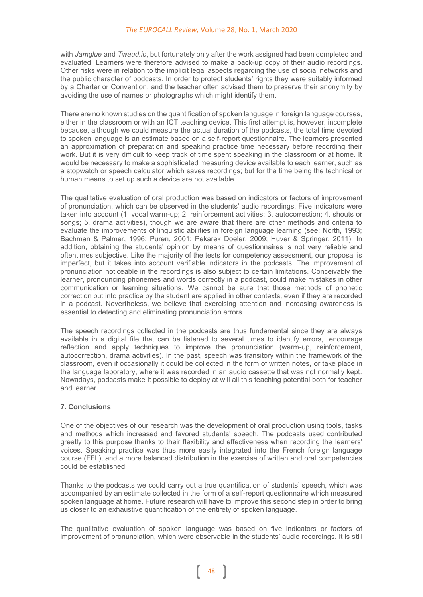with *Jamglue* and *Twaud.io*, but fortunately only after the work assigned had been completed and evaluated. Learners were therefore advised to make a back-up copy of their audio recordings. Other risks were in relation to the implicit legal aspects regarding the use of social networks and the public character of podcasts. In order to protect students' rights they were suitably informed by a Charter or Convention, and the teacher often advised them to preserve their anonymity by avoiding the use of names or photographs which might identify them.

There are no known studies on the quantification of spoken language in foreign language courses, either in the classroom or with an ICT teaching device. This first attempt is, however, incomplete because, although we could measure the actual duration of the podcasts, the total time devoted to spoken language is an estimate based on a self-report questionnaire. The learners presented an approximation of preparation and speaking practice time necessary before recording their work. But it is very difficult to keep track of time spent speaking in the classroom or at home. It would be necessary to make a sophisticated measuring device available to each learner, such as a stopwatch or speech calculator which saves recordings; but for the time being the technical or human means to set up such a device are not available.

The qualitative evaluation of oral production was based on indicators or factors of improvement of pronunciation, which can be observed in the students' audio recordings. Five indicators were taken into account (1. vocal warm-up; 2. reinforcement activities; 3. autocorrection; 4. shouts or songs; 5. drama activities), though we are aware that there are other methods and criteria to evaluate the improvements of linguistic abilities in foreign language learning (see: North, 1993; Bachman & Palmer, 1996; Puren, 2001; Pekarek Doeler, 2009; Huver & Springer, 2011). In addition, obtaining the students' opinion by means of questionnaires is not very reliable and oftentimes subjective. Like the majority of the tests for competency assessment, our proposal is imperfect, but it takes into account verifiable indicators in the podcasts. The improvement of pronunciation noticeable in the recordings is also subject to certain limitations. Conceivably the learner, pronouncing phonemes and words correctly in a podcast, could make mistakes in other communication or learning situations. We cannot be sure that those methods of phonetic correction put into practice by the student are applied in other contexts, even if they are recorded in a podcast. Nevertheless, we believe that exercising attention and increasing awareness is essential to detecting and eliminating pronunciation errors.

The speech recordings collected in the podcasts are thus fundamental since they are always available in a digital file that can be listened to several times to identify errors, encourage reflection and apply techniques to improve the pronunciation (warm-up, reinforcement, autocorrection, drama activities). In the past, speech was transitory within the framework of the classroom, even if occasionally it could be collected in the form of written notes, or take place in the language laboratory, where it was recorded in an audio cassette that was not normally kept. Nowadays, podcasts make it possible to deploy at will all this teaching potential both for teacher and learner.

## **7. Conclusions**

One of the objectives of our research was the development of oral production using tools, tasks and methods which increased and favored students' speech. The podcasts used contributed greatly to this purpose thanks to their flexibility and effectiveness when recording the learners' voices. Speaking practice was thus more easily integrated into the French foreign language course (FFL), and a more balanced distribution in the exercise of written and oral competencies could be established.

Thanks to the podcasts we could carry out a true quantification of students' speech, which was accompanied by an estimate collected in the form of a self-report questionnaire which measured spoken language at home. Future research will have to improve this second step in order to bring us closer to an exhaustive quantification of the entirety of spoken language.

The qualitative evaluation of spoken language was based on five indicators or factors of improvement of pronunciation, which were observable in the students' audio recordings. It is still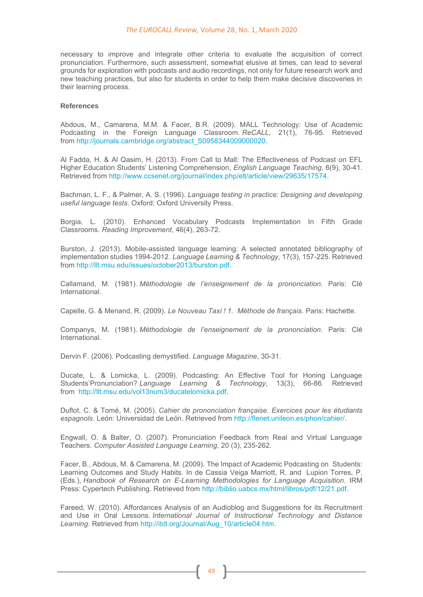#### *The EUROCALL Review,* Volume 28, No. 1, March 2020

necessary to improve and integrate other criteria to evaluate the acquisition of correct pronunciation. Furthermore, such assessment, somewhat elusive at times, can lead to several grounds for exploration with podcasts and audio recordings, not only for future research work and new teaching practices, but also for students in order to help them make decisive discoveries in their learning process.

#### **References**

Abdous, M., Camarena, M.M. & Facer, B.R. (2009). MALL Technology: Use of Academic Podcasting in the Foreign Language Classroom. *ReCALL*, 21(1), 76-95. Retrieved from [http://journals.cambridge.org/abstract\\_S0958344009000020.](http://journals.cambridge.org/abstract_S0958344009000020)

Al Fadda, H. & Al Qasim, H. (2013). From Call to Mall: The Effectiveness of Podcast on EFL Higher Education Students' Listening Comprehension, *English Language Teaching*, 6(9), 30-41. Retrieved from [http://www.ccsenet.org/journal/index.php/elt/article/view/29635/17574.](http://www.ccsenet.org/journal/index.php/elt/article/view/29635/17574)

Bachman, L. F., & Palmer, A. S. (1996). *Language testing in practice: Designing and developing useful language tests*. Oxford: Oxford University Press.

Borgia, L. (2010). Enhanced Vocabulary Podcasts Implementation In Fifth Grade Classrooms. *Reading Improvement*, 46(4), 263-72.

Burston, J. (2013). Mobile-assisted language learning: A selected annotated bibliography of implementation studies 1994-2012. *Language Learning & Technology*, 17(3), 157-225. Retrieved from [http://llt.msu.edu/issues/october2013/burston.pdf.](http://llt.msu.edu/issues/october2013/burston.pdf)

Callamand, M. (1981). *Méthodologie de l'enseignement de la prononciation*. Paris: Clé International.

Capelle, G. & Menand, R. (2009). *Le Nouveau Taxi ! 1. Méthode de français*. Paris: Hachette.

Companys, M. (1981). *Méthodologie de l'enseignement de la prononciation*. Paris: Clé International.

Dervin F. (2006). Podcasting demystified. *Language Magazine*, 30-31.

Ducate, L. & Lomicka, L. (2009). Podcasting: An Effective Tool for Honing Language Students'Pronunciation? *Language Learning & Technology*, 13(3), 66-86. Retrieved from [http://llt.msu.edu/vol13num3/ducatelomicka.pdf.](http://llt.msu.edu/vol13num3/ducatelomicka.pdf)

Duflot, C. & Tomé, M. (2005). *Cahier de prononciation française. Exercices pour les étudiants espagnols*. León: Universidad de León. Retrieved from [http://flenet.unileon.es/phon/cahier/.](http://flenet.unileon.es/phon/cahier/)

Engwall, O. & Balter, O. (2007). Pronunciation Feedback from Real and Virtual Language Teachers. *Computer Assisted Language Learning*, 20 (3), 235-262.

Facer, B., Abdous, M. & Camarena, M. (2009). The Impact of Academic Podcasting on Students: Learning Outcomes and Study Habits. In de Cassia Veiga Marriott, R. and Lupion Torres, P. (Eds.), *Handbook of Research on E-Learning Methodologies for Language Acquisition*. IRM Press: Cypertech Publishing. Retrieved from [http://biblio.uabcs.mx/html/libros/pdf/12/21.pdf.](http://biblio.uabcs.mx/html/libros/pdf/12/21.pdf)

Fareed, W. (2010). Affordances Analysis of an Audioblog and Suggestions for its Recruitment and Use in Oral Lessons. *International Journal of Instructional Technology and Distance Learning*. Retrieved from [http://itdl.org/Journal/Aug\\_10/article04.htm.](http://itdl.org/Journal/Aug_10/article04.htm)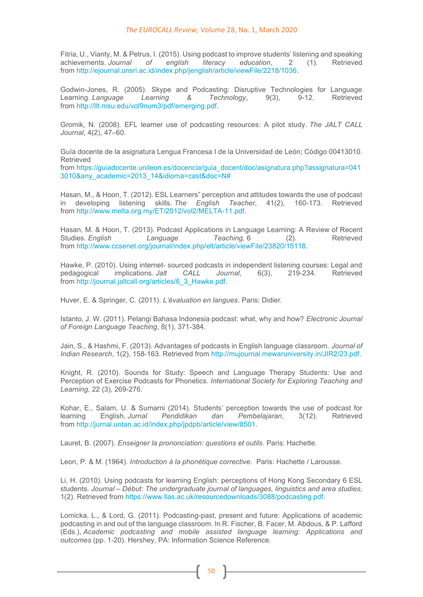Fitria, U., Vianty, M. & Petrus, I. (2015). Using podcast to improve students' listening and speaking achieved<br>achievements. Journal of english literacy education. 2 (1). Retrieved achievements. *Journal of english literacy education*, 2 (1). from [http://ejournal.unsri.ac.id/index.php/jenglish/article/viewFile/2218/1036.](http://ejournal.unsri.ac.id/index.php/jenglish/article/viewFile/2218/1036)

Godwin-Jones, R. (2005). Skype and Podcasting: Disruptive Technologies for Language<br>Learning Language Learning & Technology. 9(3). 9-12. Retrieved Learning. *Language* from [http://llt.msu.edu/vol9num3/pdf/emerging.pdf.](http://llt.msu.edu/vol9num3/pdf/emerging.pdf)

Gromik, N. (2008). EFL learner use of podcasting resources: A pilot study. *The JALT CALL Journal*, 4(2), 47–60.

Guía docente de la asignatura Lengua Francesa I de la Universidad de León; Código 00413010. Retrieved

from [https://guiadocente.unileon.es/docencia/guia\\_docent/doc/asignatura.php?assignatura=041](https://guiadocente.unileon.es/docencia/guia_docent/doc/asignatura.php?assignatura=0413010&any_academic=2013_14&idioma=cast&doc=N) [3010&any\\_academic=2013\\_14&idioma=cast&doc=N#](https://guiadocente.unileon.es/docencia/guia_docent/doc/asignatura.php?assignatura=0413010&any_academic=2013_14&idioma=cast&doc=N)

Hasan, M., & Hoon, T. (2012). ESL Learners" perception and attitudes towards the use of podcast in developing listening skills. *The English Teacher*, 41(2), 160-173. Retrieved from [http://www.melta.org.my/ET/2012/vol2/MELTA-11.pdf.](http://www.melta.org.my/ET/2012/vol2/MELTA-11.pdf)

Hasan, M. & Hoon, T. (2013). Podcast Applications in Language Learning: A Review of Recent<br>Studies. English Language Teaching. 6 (2). Retrieved Studies. *English* Language *Teaching*, 6 (2). from [http://www.ccsenet.org/journal/index.php/elt/article/viewFile/23820/15118.](http://www.ccsenet.org/journal/index.php/elt/article/viewFile/23820/15118)

Hawke, P. (2010). Using internet- sourced podcasts in independent listening courses: Legal and pedagogical implications. Jalt CALL Journal, 6(3), 219-234. Retrieved implications. *Jalt* CALL Journal, 6(3), 219-234. Retrieved from [http://journal.jaltcall.org/articles/6\\_3\\_Hawke.pdf.](http://journal.jaltcall.org/articles/6_3_Hawke.pdf)

Huver, E. & Springer, C. (2011). *L'évaluation en langues*. Paris: Didier.

Istanto, J. W. (2011). Pelangi Bahasa Indonesia podcast: what, why and how? *Electronic Journal of Foreign Language Teaching*, 8(1), 371-384.

Jain, S., & Hashmi, F. (2013). Advantages of podcasts in English language classroom. *Journal of Indian Research*, 1(2), 158-163. Retrieved from [http://mujournal.mewaruniversity.in/JIR2/23.pdf.](http://mujournal.mewaruniversity.in/JIR2/23.pdf)

Knight, R. (2010). Sounds for Study: Speech and Language Therapy Students: Use and Perception of Exercise Podcasts for Phonetics. *International Society for Exploring Teaching and Learning*, 22 (3), 269-276.

Kohar, E., Salam, U. & Sumarni (2014). Students' perception towards the use of podcast for Venerius and the use of podcast for the use of podcast for the use of podcast for the use of podcast for the use of podcast for the learning English, *Jurnal Pendidikan dan Pembelajaran*, 3(12). Retrieved from [http://jurnal.untan.ac.id/index.php/jpdpb/article/view/8501.](http://jurnal.untan.ac.id/index.php/jpdpb/article/view/8501)

Lauret, B. (2007). *Enseigner la prononciation: questions et outils*. Paris: Hachette.

Leon, P. & M. (1964). *Introduction à la phonétique corrective*. Paris: Hachette / Larousse.

Li, H. (2010). Using podcasts for learning English: perceptions of Hong Kong Secondary 6 ESL students. *Journal – Début: The undergraduate journal of languages, linguistics and area studies*, 1(2). Retrieved from [https://www.llas.ac.uk/resourcedownloads/3088/podcasting.pdf.](https://www.llas.ac.uk/resourcedownloads/3088/podcasting.pdf)

Lomicka, L., & Lord, G. (2011). Podcasting-past, present and future: Applications of academic podcasting in and out of the language classroom. In R. Fischer, B. Facer, M. Abdous, & P. Lafford (Eds.), *Academic podcasting and mobile assisted language learning: Applications and outcomes* (pp. 1-20). Hershey, PA: Information Science Reference.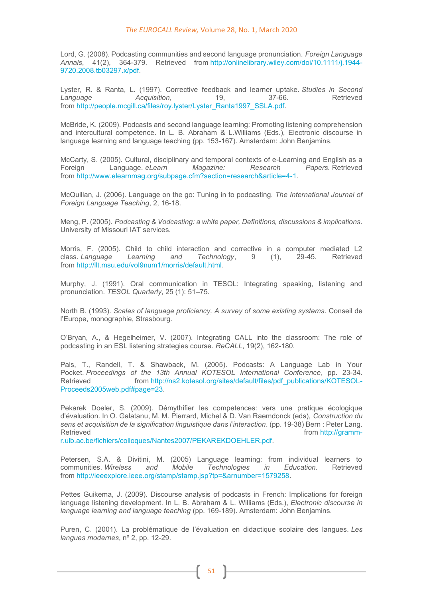Lord, G. (2008). Podcasting communities and second language pronunciation. *Foreign Language Annals*, 41(2), 364-379. Retrieved from [http://onlinelibrary.wiley.com/doi/10.1111/j.1944-](http://onlinelibrary.wiley.com/doi/10.1111/j.1944-9720.2008.tb03297.x/pdf) [9720.2008.tb03297.x/pdf.](http://onlinelibrary.wiley.com/doi/10.1111/j.1944-9720.2008.tb03297.x/pdf)

Lyster, R. & Ranta, L. (1997). Corrective feedback and learner uptake. *Studies in Second*  **Language Acquisition**, from [http://people.mcgill.ca/files/roy.lyster/Lyster\\_Ranta1997\\_SSLA.pdf.](http://people.mcgill.ca/files/roy.lyster/Lyster_Ranta1997_SSLA.pdf)

McBride, K. (2009). Podcasts and second language learning: Promoting listening comprehension and intercultural competence. In L. B. Abraham & L.Williams (Eds.), Electronic discourse in language learning and language teaching (pp. 153-167). Amsterdam: John Benjamins.

McCarty, S. (2005). Cultural, disciplinary and temporal contexts of e-Learning and English as a<br>Foreign [anguage, elearn Magazine: Research Papers, Retrieved Language. *eLearn* from [http://www.elearnmag.org/subpage.cfm?section=research&article=4-1.](http://www.elearnmag.org/subpage.cfm?section=research&article=4-1)

McQuillan, J. (2006). Language on the go: Tuning in to podcasting. *The International Journal of Foreign Language Teaching*, 2, 16-18.

Meng, P. (2005). *Podcasting & Vodcasting: a white paper, Definitions, discussions & implications*. University of Missouri IAT services.

Morris, F. (2005). Child to child interaction and corrective in a computer mediated L2 class. *Language Learning and Technology*, 9 (1), 29-45. Retrieved from [http://llt.msu.edu/vol9num1/morris/default.html.](http://llt.msu.edu/vol9num1/morris/default.html)

Murphy, J. (1991). Oral communication in TESOL: Integrating speaking, listening and pronunciation. *TESOL Quarterly*, 25 (1): 51–75.

North B. (1993). *Scales of language proficiency, A survey of some existing systems*. Conseil de l'Europe, monographie, Strasbourg.

O'Bryan, A., & Hegelheimer, V. (2007). Integrating CALL into the classroom: The role of podcasting in an ESL listening strategies course. *ReCALL*, 19(2), 162-180.

Pals, T., Randell, T. & Shawback, M. (2005). Podcasts: A Language Lab in Your Pocket. *Proceedings of the 13th Annual KOTESOL International Conference*, pp. 23-34. Retrieved from [http://ns2.kotesol.org/sites/default/files/pdf\\_publications/KOTESOL-](http://ns2.kotesol.org/sites/default/files/pdf_publications/KOTESOL-Proceeds2005web.pdf#page=23)[Proceeds2005web.pdf#page=23.](http://ns2.kotesol.org/sites/default/files/pdf_publications/KOTESOL-Proceeds2005web.pdf#page=23)

Pekarek Doeler, S. (2009). Démythifier les competences: vers une pratique écologique d'évaluation. In O. Galatanu, M. M. Pierrard, Michel & D. Van Raemdonck (eds), *Construction du sens et acquisition de la signification linguistique dans l'interaction*. (pp. 19-38) Bern : Peter Lang. Retrieved **from [http://gramm-](http://gramm-r.ulb.ac.be/fichiers/colloques/Nantes2007/PEKAREKDOEHLER.pdf)**

[r.ulb.ac.be/fichiers/colloques/Nantes2007/PEKAREKDOEHLER.pdf.](http://gramm-r.ulb.ac.be/fichiers/colloques/Nantes2007/PEKAREKDOEHLER.pdf)

Petersen, S.A. & Divitini, M. (2005) Language learning: from individual learners to communities. *Wireless and Mobile Technologies in Education*. Retrieved from [http://ieeexplore.ieee.org/stamp/stamp.jsp?tp=&arnumber=1579258.](http://ieeexplore.ieee.org/stamp/stamp.jsp?tp=&arnumber=1579258)

Pettes Guikema, J. (2009). Discourse analysis of podcasts in French: Implications for foreign language listening development. In L. B. Abraham & L. Williams (Eds.), *Electronic discourse in language learning and language teaching* (pp. 169-189). Amsterdam: John Benjamins.

Puren, C. (2001). La problématique de l'évaluation en didactique scolaire des langues. *Les langues modernes*, nº 2, pp. 12-29.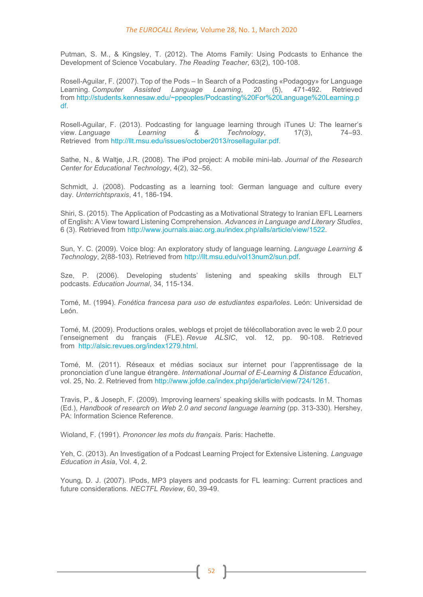Putman, S. M., & Kingsley, T. (2012). The Atoms Family: Using Podcasts to Enhance the Development of Science Vocabulary. *The Reading Teacher*, 63(2), 100-108.

Rosell-Aguilar, F. (2007). Top of the Pods – In Search of a Podcasting «Podagogy» for Language Learning. *Computer Assisted Language Learning*, 20 (5), 471-492. Retrieved from [http://students.kennesaw.edu/~ppeoples/Podcasting%20For%20Language%20Learning.p](http://students.kennesaw.edu/~ppeoples/Podcasting%20For%20Language%20Learning.pdf) [df.](http://students.kennesaw.edu/~ppeoples/Podcasting%20For%20Language%20Learning.pdf)

Rosell-Aguilar, F. (2013). Podcasting for language learning through iTunes U: The learner's<br>view. Language and Learning and S. Machnology. 17(3). 74–93. view. Language Learning & Technology, 17(3), Retrieved from [http://llt.msu.edu/issues/october2013/rosellaguilar.pdf.](http://llt.msu.edu/issues/october2013/rosellaguilar.pdf)

Sathe, N., & Waltje, J.R. (2008). The iPod project: A mobile mini-lab. *Journal of the Research Center for Educational Technology*, 4(2), 32–56.

Schmidt, J. (2008). Podcasting as a learning tool: German language and culture every day. *Unterrichtspraxis*, 41, 186-194.

Shiri, S. (2015). The Application of Podcasting as a Motivational Strategy to Iranian EFL Learners of English: A View toward Listening Comprehension. *Advances in Language and Literary Studies*, 6 (3). Retrieved from [http://www.journals.aiac.org.au/index.php/alls/article/view/1522.](http://www.journals.aiac.org.au/index.php/alls/article/view/1522)

Sun, Y. C. (2009). Voice blog: An exploratory study of language learning. *Language Learning & Technology*, 2(88-103). Retrieved from [http://llt.msu.edu/vol13num2/sun.pdf.](http://llt.msu.edu/vol13num2/sun.pdf)

Sze, P. (2006). Developing students' listening and speaking skills through ELT podcasts. *Education Journal*, 34, 115-134.

Tomé, M. (1994). *Fonética francesa para uso de estudiantes españoles*. León: Universidad de León.

Tomé, M. (2009). Productions orales, weblogs et projet de télécollaboration avec le web 2.0 pour l'enseignement du français (FLE). *Revue ALSIC*, vol. 12, pp. 90-108. Retrieved from [http://alsic.revues.org/index1279.html.](http://alsic.revues.org/index1279.html)

Tomé, M. (2011). Réseaux et médias sociaux sur internet pour l'apprentissage de la prononciation d'une langue étrangère. *International Journal of E-Learning & Distance Education*, vol. 25, No. 2. Retrieved from [http://www.jofde.ca/index.php/jde/article/view/724/1261.](http://www.jofde.ca/index.php/jde/article/view/724/1261)

Travis, P., & Joseph, F. (2009). Improving learners' speaking skills with podcasts. In M. Thomas (Ed.), *Handbook of research on Web 2.0 and second language learning* (pp. 313-330). Hershey, PA: Information Science Reference.

Wioland, F. (1991). *Prononcer les mots du français.* Paris: Hachette.

Yeh, C. (2013). An Investigation of a Podcast Learning Project for Extensive Listening. *Language Education in Asia*, Vol. 4, 2.

Young, D. J. (2007). IPods, MP3 players and podcasts for FL learning: Current practices and future considerations. *NECTFL Review*, 60, 39-49.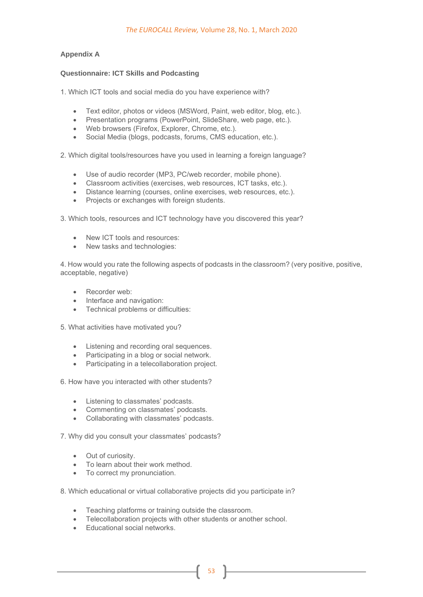## **Appendix A**

## **Questionnaire: ICT Skills and Podcasting**

1. Which ICT tools and social media do you have experience with?

- Text editor, photos or videos (MSWord, Paint, web editor, blog, etc.).
- Presentation programs (PowerPoint, SlideShare, web page, etc.).
- Web browsers (Firefox, Explorer, Chrome, etc.).
- Social Media (blogs, podcasts, forums, CMS education, etc.).

2. Which digital tools/resources have you used in learning a foreign language?

- Use of audio recorder (MP3, PC/web recorder, mobile phone).
- Classroom activities (exercises, web resources, ICT tasks, etc.).
- Distance learning (courses, online exercises, web resources, etc.).
- Projects or exchanges with foreign students.

3. Which tools, resources and ICT technology have you discovered this year?

- New ICT tools and resources:
- New tasks and technologies:

4. How would you rate the following aspects of podcasts in the classroom? (very positive, positive, acceptable, negative)

- Recorder web:
- Interface and navigation:
- Technical problems or difficulties:

5. What activities have motivated you?

- Listening and recording oral sequences.
- Participating in a blog or social network.
- Participating in a telecollaboration project.

6. How have you interacted with other students?

- Listening to classmates' podcasts.
- Commenting on classmates' podcasts.
- Collaborating with classmates' podcasts.

7. Why did you consult your classmates' podcasts?

- Out of curiosity.
- To learn about their work method.
- To correct my pronunciation.

8. Which educational or virtual collaborative projects did you participate in?

- Teaching platforms or training outside the classroom.
- Telecollaboration projects with other students or another school.

53

• Educational social networks.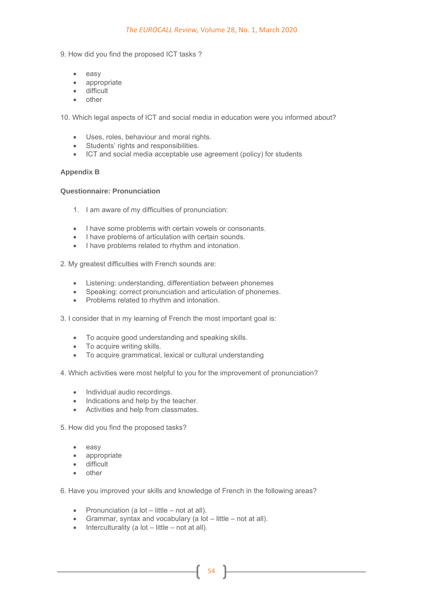9. How did you find the proposed ICT tasks ?

- easy
- appropriate
- difficult
- other

10. Which legal aspects of ICT and social media in education were you informed about?

- Uses, roles, behaviour and moral rights.
- Students' rights and responsibilities.
- ICT and social media acceptable use agreement (policy) for students

#### **Appendix B**

### **Questionnaire: Pronunciation**

- 1. I am aware of my difficulties of pronunciation:
- I have some problems with certain vowels or consonants.
- I have problems of articulation with certain sounds.
- I have problems related to rhythm and intonation.

2. My greatest difficulties with French sounds are:

- Listening: understanding, differentiation between phonemes
- Speaking: correct pronunciation and articulation of phonemes.
- Problems related to rhythm and intonation.

3. I consider that in my learning of French the most important goal is:

- To acquire good understanding and speaking skills.
- To acquire writing skills.
- To acquire grammatical, lexical or cultural understanding
- 4. Which activities were most helpful to you for the improvement of pronunciation?
	- Individual audio recordings.
	- Indications and help by the teacher.
	- Activities and help from classmates.

5. How did you find the proposed tasks?

- easy
- appropriate
- difficult
- other

6. Have you improved your skills and knowledge of French in the following areas?

- Pronunciation (a lot little not at all).
- Grammar, syntax and vocabulary (a lot little not at all).
- $\bullet$  Interculturality (a lot little not at all).

54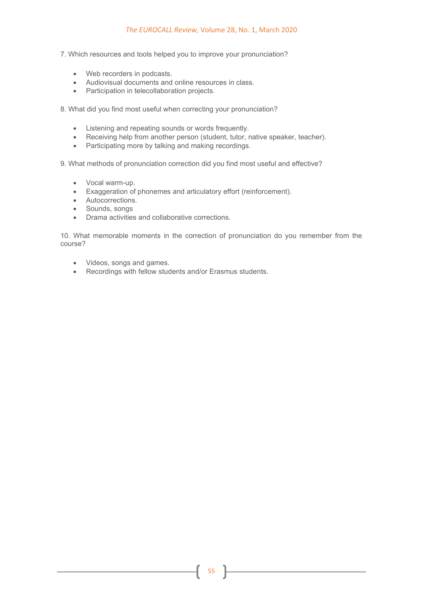- 7. Which resources and tools helped you to improve your pronunciation?
	- Web recorders in podcasts.
	- Audiovisual documents and online resources in class.
	- Participation in telecollaboration projects.

8. What did you find most useful when correcting your pronunciation?

- Listening and repeating sounds or words frequently.
- Receiving help from another person (student, tutor, native speaker, teacher).
- Participating more by talking and making recordings.

9. What methods of pronunciation correction did you find most useful and effective?

- Vocal warm-up.
- Exaggeration of phonemes and articulatory effort (reinforcement).
- Autocorrections.
- Sounds, songs
- Drama activities and collaborative corrections.

10. What memorable moments in the correction of pronunciation do you remember from the course?

- Videos, songs and games.
- Recordings with fellow students and/or Erasmus students.